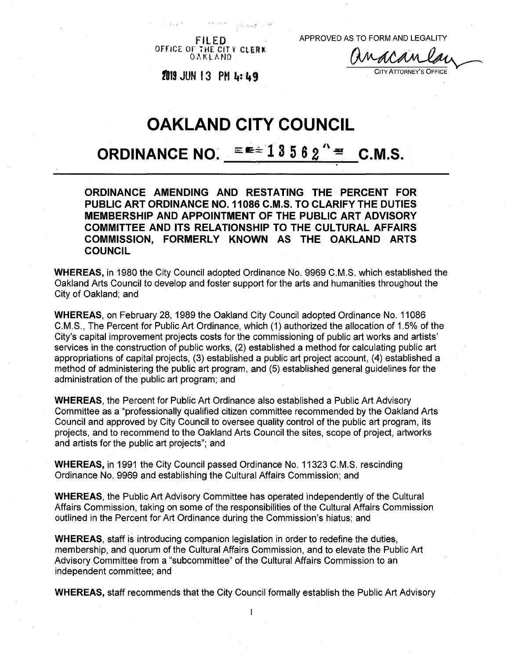OFFICE OF THE CIT <sup>V</sup> *CIUM* OAKLAND

FILED APPROVED AS TO FORM AND LEGALITY

<sup>C</sup>ity <sup>A</sup>ttorney'<sup>s</sup> <sup>O</sup>ffice **<sup>21119</sup> JUN 13 PM ti: 49**

# **OAKLAND CITY COUNCIL**

# **ORDINANCE NO.**  $\equiv 13562$   $^{\circ}$   $\equiv$  **C.M.S.**

**ORDINANCE AMENDING AND RESTATING THE PERCENT FOR PUBLIC ART ORDINANCE NO. 11086 C.M.S. TO CLARIFY THE DUTIES MEMBERSHIP AND APPOINTMENT OF THE PUBLIC ART ADVISORY COMMITTEE AND ITS RELATIONSHIP TO THE CULTURAL AFFAIRS COMMISSION, FORMERLY KNOWN AS THE OAKLAND ARTS COUNCIL**

**WHEREAS,** in 1980 the City Council adopted Ordinance No. 9969 C.M.S. which established the Oakland Arts Council to develop and foster support for the arts and humanities throughout the City of Oakland; and

**WHEREAS,** on February 28, 1989 the Oakland City Council adopted Ordinance No. 11086 C.M.S., The Percent for Public Art Ordinance, which (1) authorized the allocation of 1.5% of the City's capital improvement projects costs for the commissioning of public art works and artists' services in the construction of public works, (2) established a method for calculating public art appropriations of capital projects, (3) established a public art project account, (4) established a method of administering the public art program, and (5) established general guidelines for the administration of the public art program; and

**WHEREAS,** the Percent for Public Art Ordinance also established a Public Art Advisory Committee as a "professionally qualified citizen committee recommended by the Oakland Arts Council and approved by City Council to oversee quality control of the public art program, its projects, and to recommend to the Oakland Arts Council the sites, scope of project, artworks and artists for the public art projects"; and

**WHEREAS,** in 1991 the City Council passed Ordinance No. 11323 C.M.S. rescinding Ordinance No. 9969 and establishing the Cultural Affairs Commission; and

**WHEREAS,** the Public Art Advisory Committee has operated independently of the Cultural Affairs Commission, taking on some of the responsibilities of the Cultural Affairs Commission outlined in the Percent for Art Ordinance during the Commission's hiatus; and

**WHEREAS,** staff is introducing companion legislation in order to redefine the duties, membership, and quorum of the Cultural Affairs Commission, and to elevate the Public Art Advisory Committee from a "subcommittee" of the Cultural Affairs Commission to an independent committee; and

**WHEREAS,** staff recommends that the City Council formally establish the Public Art Advisory

 $\mathbf{I}$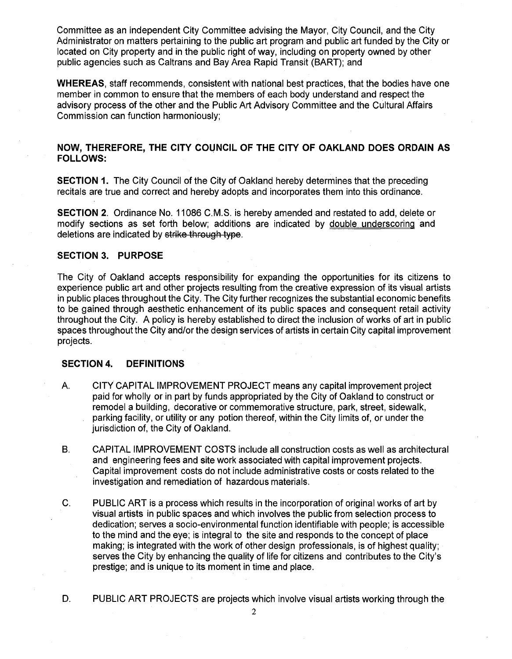Committee as an independent City Committee advising the Mayor, City Council, and the City Administrator on matters pertaining to the public art program and public art funded by the City or located on City property and in the public right of way, including on property owned by other public agencies such as Caltrans and Bay Area Rapid Transit (BART); and

**WHEREAS,** staff recommends, consistent with national best practices, that the bodies have one member in common to ensure that the members of each body understand and respect the advisory process of the other and the Public Art Advisory Committee and the Cultural Affairs Commission can function harmoniously;

# **NOW, THEREFORE, THE CITY COUNCIL OF THE CITY OF OAKLAND DOES ORDAIN AS FOLLOWS:**

**SECTION 1.** The City Council of the City of Oakland hereby determines that the preceding recitals are true and correct and hereby adopts and incorporates them into this ordinance.

**SECTION 2.** Ordinance No. 11086 C.M.S. is hereby amended and restated to add, delete or modify sections as set forth below; additions are indicated by double underscoring and deletions are indicated by strike through type.

#### **SECTION 3. PURPOSE**

The City of Oakland accepts responsibility for expanding the opportunities for its citizens to experience public art and other projects resulting from the creative expression of its visual artists in public places throughout the City. The City further recognizes the substantial economic benefits to be gained through aesthetic enhancement of its public spaces and consequent retail activity throughout the City. A policy is hereby established to direct the inclusion of works of art in public spaces throughout the City and/or the design services of artists in certain City capital improvement projects.

#### **SECTION 4. DEFINITIONS**

- CITY CAPITAL IMPROVEMENT PROJECT means any capital improvement project paid for wholly or in part by funds appropriated by the City of Oakland to construct or remodel a building, decorative or commemorative structure, park, street, sidewalk, parking facility, or utility or any potion thereof, within the City limits of, or under the jurisdiction of, the City of Oakland. A.
- CAPITAL IMPROVEMENT COSTS include all construction costs as well as architectural and engineering fees and site work associated with capital improvement projects. Capital improvement costs do not include administrative costs or costs related to the investigation and remediation of hazardous materials. B.
- C. PUBLIC ART is a process which results in the incorporation of original works of art by visual artists in public spaces and which involves the public from selection process to dedication; serves a socio-environmental function identifiable with people; is accessible to the mind and the eye; is integral to the site and responds to the concept of place making; is integrated with the work of other design professionals, is of highest quality; serves the City by enhancing the quality of life for citizens and contributes to the City's prestige; and is unique to its moment in time and place.
- D. PUBLIC ART PROJECTS are projects which involve visual artists working through the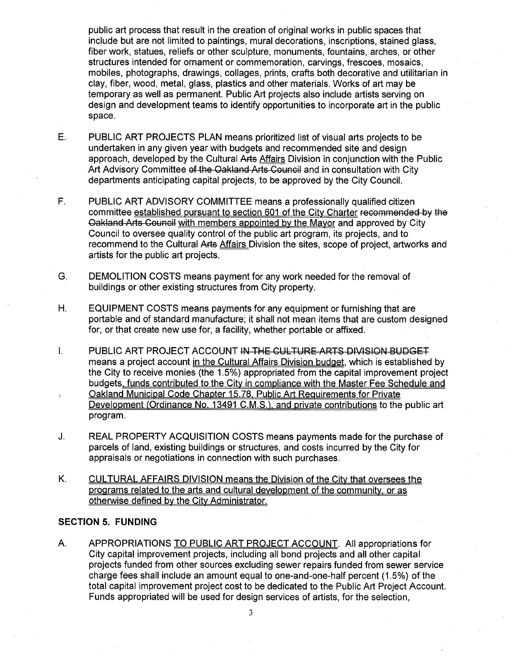public art process that result in the creation of original works in public spaces that include but are not limited to paintings, mural decorations, inscriptions, stained glass, fiber work, statues, reliefs or other sculpture, monuments, fountains, arches, or other structures intended for ornament or commemoration, carvings, frescoes, mosaics, mobiles, photographs, drawings, collages, prints, crafts both decorative and utilitarian in clay, fiber, wood, metal, glass, plastics and other materials. Works of art may be temporary as well as permanent. Public Art projects also include artists serving on design and development teams to identify opportunities to incorporate art in the public space.

- E. PUBLIC ART PROJECTS PLAN means prioritized list of visual arts projects to be undertaken in any given year with budgets and recommended site and design approach, developed by the Cultural Arts Affairs Division in conjunction with the Public Art Advisory Committee of the Oakland Arts Council and in consultation with City departments anticipating capital projects, to be approved by the City Council.
- PUBLIC ART ADVISORY COMMITTEE means a professionally qualified citizen committee established pursuant to section 601 of the City Charter recommended by the Qakland-Arts-Gouncil with members appointed bv the Mayor and approved by City Council to oversee quality control of the public art program, its projects, and to recommend to the Cultural Arts Affairs Division the sites, scope of project, artworks and artists for the public art projects. F.
- DEMOLITION COSTS means payment for any work needed for the removal of buildings or other existing structures from City property. G.
- EQUIPMENT COSTS means payments for any equipment or furnishing that are portable and of standard manufacture; it shall not mean items that are custom designed for, or that create new use for, a facility, whether portable or affixed. H.
- I. PUBLIC ART PROJECT ACCOUNT IN THE CULTURE ARTS DIVISION BUDGET means a project account in the Cultural Affairs Division budget, which is established by the City to receive monies (the 1.5%) appropriated from the capital improvement project budgets, funds contributed to the City in compliance with the Master Fee Schedule and Oakland Municipal Code Chapter 15.78. Public Art Requirements for Private Development (Ordinance No. 13491 C.M.S.), and private contributions to the public art program.
- J. REAL PROPERTY ACQUISITION COSTS means payments made for the purchase of parcels of land, existing buildings or structures, and costs incurred by the City for appraisals or negotiations in connection with such purchases.
- K. CULTURAL AFFAIRS DIVISION means the Division of the City that oversees the programs related to the arts and cultural development of the community, or as otherwise defined bv the City Administrator.

#### **SECTION 5. FUNDING**

A. APPROPRIATIONS TO PUBLIC ART PROJECT ACCOUNT. All appropriations for City capital improvement projects, including all bond projects and all other capital projects funded from other sources excluding sewer repairs funded from sewer service charge fees shall include an amount equal to one-and-one-half percent (1.5%) of the total capital improvement project cost to be dedicated to the Public Art Project Account. Funds appropriated will be used for design services of artists, for the selection,

**3**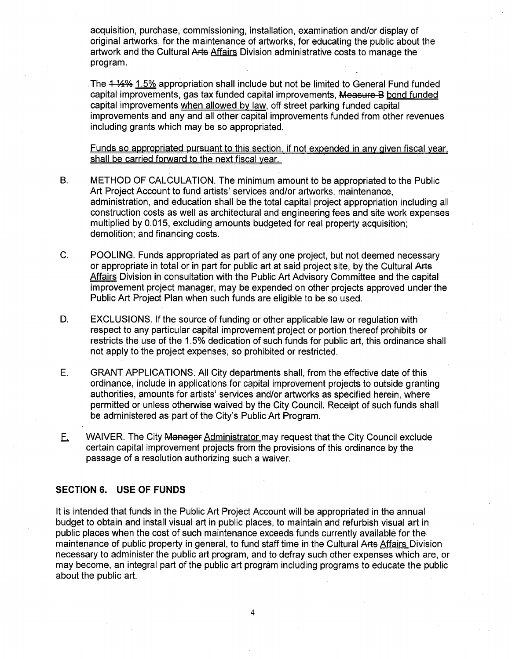acquisition, purchase, commissioning, installation, examination and/or display of original artworks, for the maintenance of artworks, for educating the public about the artwork and the Cultural Arts Affairs Division administrative costs to manage the program.

The  $4\frac{1}{2}\%$  1.5% appropriation shall include but not be limited to General Fund funded capital improvements, gas tax funded capital improvements, Measure B bond funded capital improvements when allowed by law, off street parking funded capital improvements and any and all other capital improvements funded from other revenues including grants which may be so appropriated.

Funds so appropriated pursuant to this section, if not expended in anv given fiscal year, shall be carried forward to the next fiscal year.

- METHOD OF CALCULATION. The minimum amount to be appropriated to the Public Art Project Account to fund artists' services and/or artworks, maintenance, administration, and education shall be the total capital project appropriation including all construction costs as well as architectural and engineering fees and site work expenses multiplied by 0.015, excluding amounts budgeted for real property acquisition; demolition; and financing costs. B.
- C. POOLING. Funds appropriated as part of any one project, but not deemed necessary or appropriate in total or in part for public art at said project site, by the Cultural Arts Affairs Division in consultation with the Public Art Advisory Committee and the capital improvement project manager, may be expended on other projects approved under the Public Art Project Plan when such funds are eligible to be so used.
- EXCLUSIONS. If the source of funding or other applicable law or regulation with respect to any particular capital improvement project or portion thereof prohibits or restricts the use of the 1.5% dedication of such funds for public art, this ordinance shall not apply to the project expenses, so prohibited or restricted. D.
- GRANT APPLICATIONS. All City departments shall, from the effective date of this ordinance, include in applications for capital improvement projects to outside granting authorities, amounts for artists' services and/or artworks as specified herein, where permitted or unless otherwise waived by the City Council. Receipt of such funds shall be administered as part of the City's Public Art Program. E.
- E\_ WAIVER. The City Manager Administrator may request that the City Council exclude certain capital improvement projects from the provisions of this ordinance by the passage of a resolution authorizing such a waiver.

#### **SECTION 6. USE OF FUNDS**

It is intended that funds in the Public Art Project Account will be appropriated in the annual budget to obtain and install visual art in public places, to maintain and refurbish visual art in public places when the cost of such maintenance exceeds funds currently available for the maintenance of public property in general, to fund staff time in the Cultural Arts Affairs Division necessary to administer the public art program, and to defray such other expenses which are, or may become, an integral part of the public art program including programs to educate the public about the public art.

**4**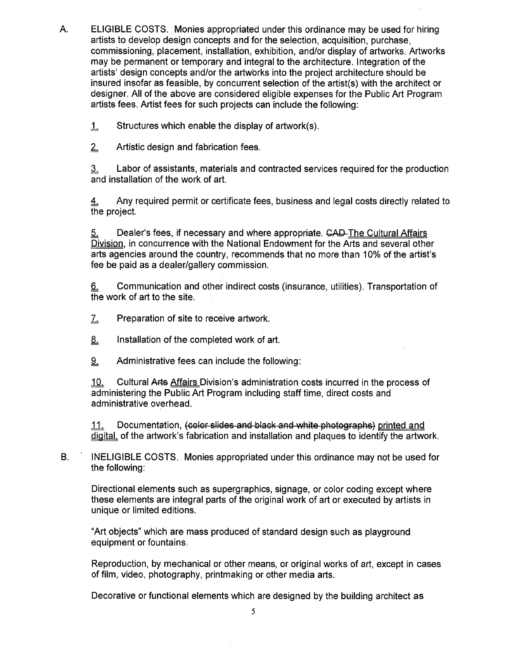A. ELIGIBLE COSTS. Monies appropriated under this ordinance may be used for hiring artists to develop design concepts and for the selection, acquisition, purchase, commissioning, placement, installation, exhibition, and/or display of artworks. Artworks may be permanent or temporary and integral to the architecture. Integration of the artists' design concepts and/or the artworks into the project architecture should be insured insofar as feasible, by concurrent selection of the artist(s) with the architect or designer. All of the above are considered eligible expenses for the Public Art Program artists fees. Artist fees for such projects can include the following:

 $\underline{1}$  Structures which enable the display of artwork(s).

2, Artistic design and fabrication fees.

 $\overline{3}$ . Labor of assistants, materials and contracted services required for the production and installation of the work of art.

 $\underline{4}$  Any required permit or certificate fees, business and legal costs directly related to the project.

5. Dealer's fees, if necessary and where appropriate. CAD-The Cultural Affairs Division, in concurrence with the National Endowment for the Arts and several other arts agencies around the country, recommends that no more than 10% of the artist's fee be paid as a dealer/gallery commission.

Communication and other indirect costs (insurance, utilities). Transportation of the work of art to the site.  $6.$ 

*~L* Preparation of site to receive artwork.

8. Installation of the completed work of art.

9. Administrative fees can include the following:

10. Cultural Arts Affairs Division's administration costs incurred in the process of administering the Public Art Program including staff time, direct costs and administrative overhead.

11. Documentation, <del>(color slides and black and white photographs)</del> printed and digital, of the artwork's fabrication and installation and plaques to identify the artwork.

B. INELIGIBLE COSTS. Monies appropriated under this ordinance may not be used for the following:

Directional elements such as supergraphics, signage, or color coding except where these elements are integral parts of the original work of art or executed by artists in unique or limited editions.

"Art objects" which are mass produced of standard design such as playground equipment or fountains.

Reproduction, by mechanical or other means, or original works of art, except in cases of film, video, photography, printmaking or other media arts.

Decorative or functional elements which are designed by the building architect as

**5**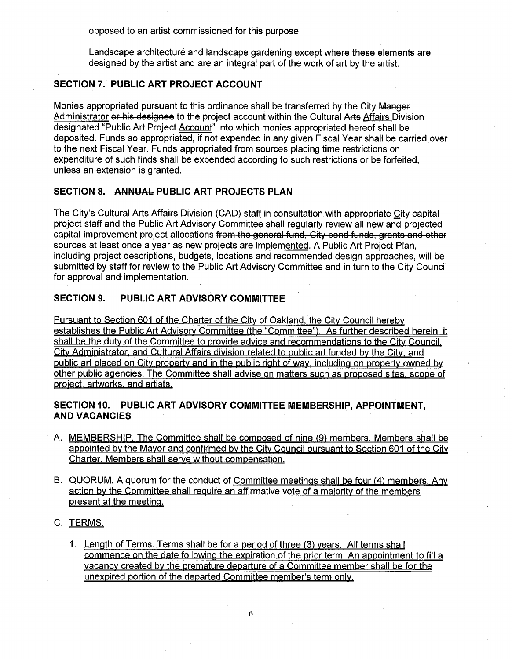opposed to an artist commissioned for this purpose.

Landscape architecture and landscape gardening except where these elements are designed by the artist and are an integral part of the work of art by the artist.

# **SECTION 7. PUBLIC ART PROJECT ACCOUNT**

Monies appropriated pursuant to this ordinance shall be transferred by the City Manger Administrator or his designee to the project account within the Cultural Arts Affairs Division designated "Public Art Project Account" into which monies appropriated hereof shall be deposited. Funds so appropriated, if not expended in any given Fiscal Year shall be carried over to the next Fiscal Year. Funds appropriated from sources placing time restrictions on expenditure of such finds shall be expended according to such restrictions or be forfeited, unless an extension is granted.

# **SECTION 8. ANNUAL PUBLIC ART PROJECTS PLAN**

The Gity's-Cultural Arts Affairs Division (GAD) staff in consultation with appropriate City capital project staff and the Public Art Advisory Committee shall regularly review all new and projected capital improvement project allocations from the general fund, City bond funds, grants and other sources at least once a year as new projects are implemented. A Public Art Project Plan, including project descriptions, budgets, locations and recommended design approaches, will be submitted by staff for review to the Public Art Advisory Committee and in turn to the City Council for approval and implementation.

# **SECTION 9. PUBLIC ART ADVISORY COMMITTEE**

Pursuant to Section 601 of the Charter of the City of Oakland, the City Council hereby establishes the Public Art Advisory Committee (the "Committee"). As further described herein, it shall be the duty of the Committee to provide advice and recommendations to the City Council. City Administrator, and Cultural Affairs division related to public art funded bv the Citv. and public art placed on City property and in the public right of wav, including on property owned bv other public agencies. The Committee shall advise on matters such as proposed sites, scope of project, artworks, and artists

# **SECTION 10. PUBLIC ART ADVISORY COMMITTEE MEMBERSHIP, APPOINTMENT, AND VACANCIES**

- A. MEMBERSHIP. The Committee shall be composed of nine (9) members. Members shall be appointed bv the Mayor and confirmed bv the Citv Council pursuant to Section 601 of the Citv Charter. Members shall serve without compensation.
- B. QUORUM. A quorum for the conduct of Committee meetings shall be four (4) members. Any action bv the Committee shall require an affirmative vote of a majority of the members present at the meeting.
- C. TERMS
	- 1. Length of Terms. Terms shall be for a period of three (3^ years. All terms shall commence on the date following the expiration of the prior term. An appointment to fill a vacancy created bv the premature departure of a Committee member shall be for the unexoired portion of the departed Committee member's term only.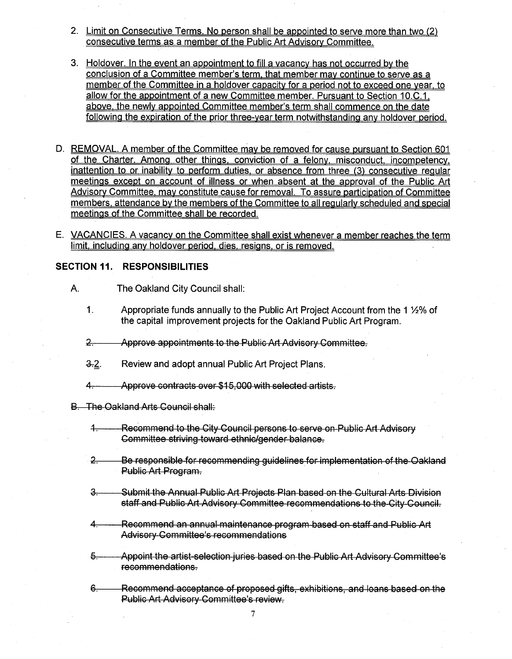- 2. Limit on Consecutive Terms. No person shall be appointed to serve more than two (2) consecutive terms as a member of the Public Art Advisory Committee.
- 3. Holdover. In the event an appointment to fill a vacancy has not occurred bv the conclusion of a Committee member's term, that member mav continue to serve as a member of the Committee in a holdover capacity for a period not to exceed one year, to allow for the appointment of a new Committee member. Pursuant to Section 10.C.1, above, the newly appointed Committee member's term shall commence on the date following the expiration of the prior three-vear term notwithstanding anv holdover period.
- D. REMOVAL. A member of the Committee mav be removed for cause pursuant to Section 601 of the Charter. Among other things, conviction of a felony, misconduct, incomoetencv. inattention to or inability to perform duties, or absence from three (3) consecutive regular meetings except on account of illness or when absent at the approval of the Public Art Advisory Committee, mav constitute cause for removal. To assure participation of Committee members, attendance by the members of the Committee to all regularly scheduled and special meetings of the Committee shall be recorded
- E. VACANCIES. A vacancy on the Committee shall exist whenever a member reaches the term limit, including any holdover period, dies, resigns, or is removed.

# **SECTION 11. RESPONSIBILITIES**

- A. The Oakland City Council shall:
	- 1. Appropriate funds annually to the Public Art Project Account from the 1 1/2% of the capital improvement projects for the Oakland Public Art Program.
	- **o** Approve appointments to the Public Art Advisory Committee.
	- 3.2. Review and adopt annual Public Art Project Plans.
	- *4r* Approve contracts over-\$15,000 with selected artists.
- B. The Oakland Arts Council shall:
	- **•4-r** Recommend to the City Council persons to serve on- Public Art Advisory Committee striving toward ethnic/gender balance.
	- 2. Be responsible for recommending guidelines for implementation of the Oakland Public Art Program.
	- **3r** Submit the Annual Public Art Projects Plan based on the Cultural Arts Division staff and Public Art Advisory Committee recommendations to the City Council.
	- Recommend an annual-maintenance program based on staff and Public Art Advisory-Committee's recommendations *A<sup>t</sup>*
	- $5-$ Appoint the artist-selection juries based on the Public Art Advisory Committee's recommendations.
	- 6.— Recommend acceptance of proposed gifts, exhibitions, and loans based on the Public Art Advisory Committee's review.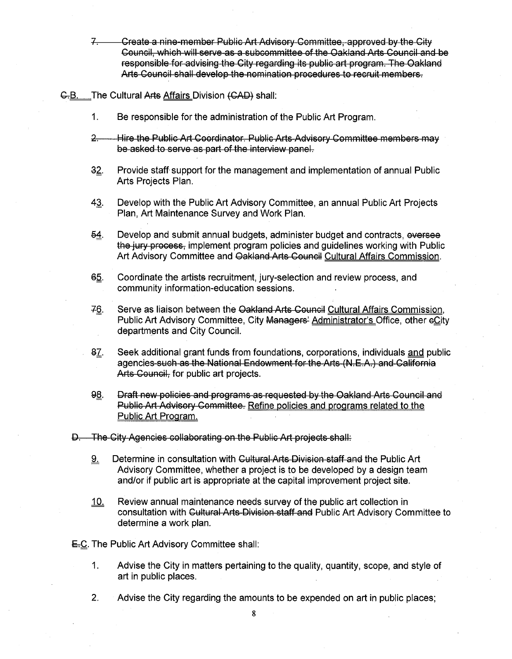-Create a nine-member Public Art Advisory-Committee,-approved by the City Council, whieh-will-serve-as a subcommittee of the Oakland Arts Council and be responsible-for-advising the City regarding its public art program. The Oakland Arts Council shall develop the-nomination procedures to recruit members.  $7$ 

#### G.B. The Cultural Arts Affairs Division (CAD) shall:

- **1.** Be responsible for the administration of the Public Art Program.
- $2 -$ Hire the Public Art Coordinator. Public Arts-Advisory Committee members-may be asked to serve as part of the interview panel.
- *Zg.* Provide staff support for the management and implementation of annual Public Arts Projects Plan.
- 43. Develop with the Public Art Advisory Committee, an annual Public Art Projects Plan, Art Maintenance Survey and Work Plan.
- **54.** Develop and submit annual budgets, administer budget and contracts, oversee the jury process, implement program policies and guidelines working with Public Art Advisory Committee and Qakland Arts Council Cultural Affairs Commission.
- §5. Coordinate the artists recruitment, jury-selection and review process, and community information-education sessions.
- 76. Serve as liaison between the Oakland Arts Council Cultural Affairs Commission, Public Art Advisory Committee, City Managers' Administrator's Office, other eCity departments and City Council.
- 87. Seek additional grant funds from foundations, corporations, individuals and public agencies such as the National Endowment-for the Arts-(N.E.A.) and California Arts Council, for public art projects.
- 9§. Draft new policies and programs-as-requested by the Oakland Arts Council and Public Art Advisory Committee. Refine policies and programs related to the Public Art Program.
- D. The City Agencies collaborating on the Public Art projects-shall:
	- <u>9.</u> Determine in consultation with Cultural Arts Division staff and the Public Art Advisory Committee, whether a project is to be developed by a design team and/or if public art is appropriate at the capital improvement project site.
	- 10. Review annual maintenance needs survey of the public art collection in consultation with Cultural Arts-Division staff and Public Art Advisory Committee to determine a work plan.
- E.C. The Public Art Advisory Committee shall:
	- **1.** Advise the City in matters pertaining to the quality, quantity, scope, and style of art in public places.
	- 2. Advise the City regarding the amounts to be expended on art in public places;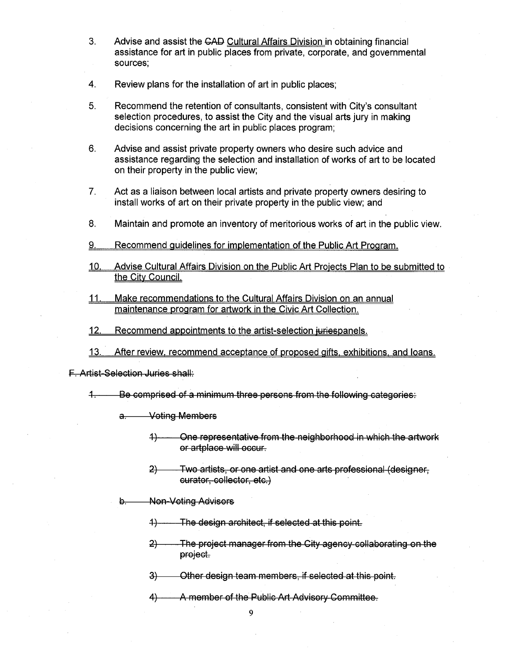- Advise and assist the GAD Cultural Affairs Division in obtaining financial assistance for art in public places from private, corporate, and governmental sources; 3.
- 4. Review plans for the installation of art in public places;
- Recommend the retention of consultants, consistent with City's consultant selection procedures, to assist the City and the visual arts jury in making decisions concerning the art in public places program; 5.
- 6. Advise and assist private property owners who desire such advice and assistance regarding the selection and installation of works of art to be located on their property in the public view;
- Act as a liaison between local artists and private property owners desiring to install works of art on their private property in the public view; and 7.
- 8. Maintain and promote an inventory of meritorious works of art in the public view.
- 9. Recommend guidelines for implementation of the Public Art Program
- 10. Advise Cultural Affairs Division on the Public Art Projects Plan to be submitted to the City Council.
- 11. Make recommendations to the Cultural Affairs Division on an annual maintenance program for artwork in the Civic Art Collection
- 12. Recommend appointments to the artist-selection iuriespanels.
- 13. After review, recommend acceptance of proposed gifts, exhibitions, and loans

F. Artist-Selection Juries shall:

 $4-$ Be comprised of a minimum three-persons from the following categories:

a. Voting Members

- 4} One representative frem-the-neighborhood in which the artwork or artplace will occur.
- 2} Two artists, or one artist and one arts professional (designer, curator, collector, etc.)
- Non-Voting Advisors  $\theta$ .
	- $+$ The design architect, if selected at this point.
	- 2) The-project manager from the City agency-collaborating on the project.
	- 3} Other design-team-members, if selected at this point.
	- 4) A member of the Public Art Advisory Committee.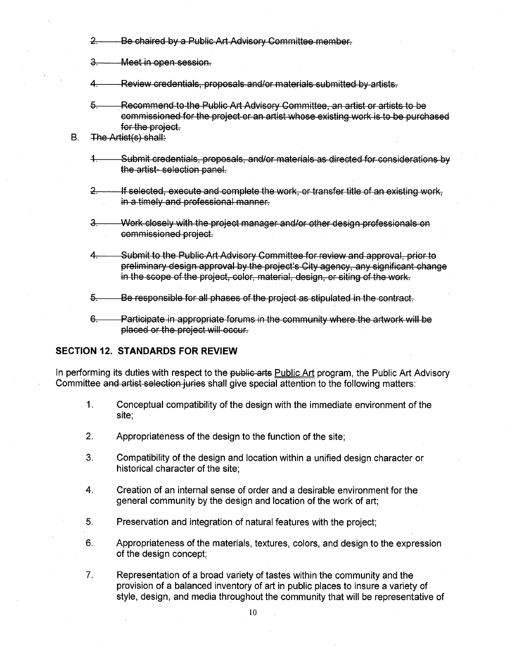$2 -$ Be chaired by a Public Art Advisory Committee member.

**3r** Meet in open-session-.

*A<sup>t</sup>* Review credentials, proposals and/or materials submitted- by artists -

- *%r* Recommend-to-the Public Art Advisory Committee, an artist or artists to be commissioned for the project or an artist whose existing work is to be purchased for the project.
- B. The Artist(s) shall:
	- *A<sup>t</sup>* Submit credentials, proposals,-and/or materials as directed for considerations by the artist- selection panel.
	- $2 -$ ■If selected, execute and complete the work, or transfer title of an existing work, in a timely and professional manner.
	- *Z<sup>t</sup>* AA/erk closely with the project manager and/or other design-professionaIs-on commissioned-project.
	- Submit to the Public Art-Advisory Committee-for review and approval, prior to preliminary-design approval by the project's City agency, any significant change in the scope of the project, color, material, design, or siting of the work. *A<sup>t</sup>*
	- 5. Be responsible for all phases of the project as stipulated in the contract.
	- Participate in appropriate forums in the community where the artwork will be placed or the project will occur. *&r*

# **SECTION 12. STANDARDS FOR REVIEW**

In performing its duties with respect to the public arts Public Art program, the Public Art Advisory Committee and artist selection juries shall give special attention to the following matters:

- **1.** Conceptual compatibility of the design with the immediate environment of the site;
- 2. Appropriateness of the design to the function of the site;
- Compatibility of the design and location within a unified design character or historical character of the site; 3.
- Creation of an internal sense of order and a desirable environment for the general community by the design and location of the work of art; 4.
- 5. Preservation and integration of natural features with the project;
- 6. Appropriateness of the materials, textures, colors, and design to the expression of the design concept;
- Representation of a broad variety of tastes within the community and the provision of a balanced inventory of art in public places to insure a variety of style, design, and media throughout the community that will be representative of 7.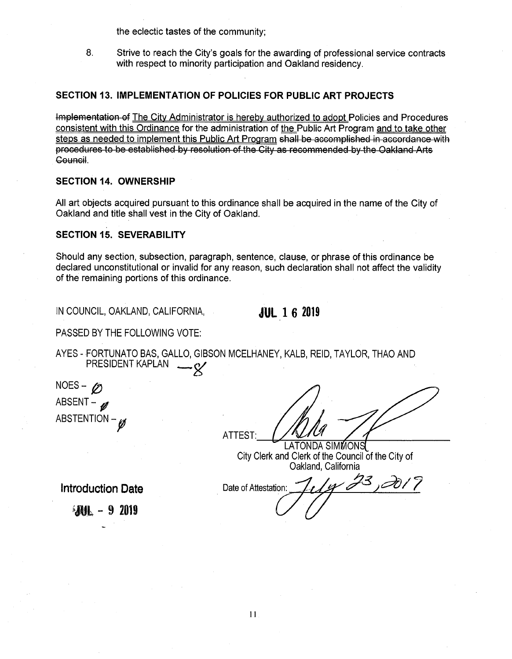the eclectic tastes of the community;

8. Strive to reach the City's goals for the awarding of professional service contracts with respect to minority participation and Oakland residency.

#### **SECTION 13. IMPLEMENTATION OF POLICIES FOR PUBLIC ART PROJECTS**

Implementation of The City Administrator is hereby authorized to adopt Policies and Procedures consistent with this Ordinance for the administration of the Public Art Program and to take other steps as needed to implement this Public Art Program shall be accomplished in accordance-with procedures to be established by resolution of the City as recommended by-the Oakland Arts Geuncil.

#### **SECTION 14. OWNERSHIP**

All art objects acquired pursuant to this ordinance shall be acquired in the name of the City of Oakland and title shall vest in the City of Oakland.

#### **SECTION 15. SEVERABILITY**

Should any section, subsection, paragraph, sentence, clause, or phrase of this ordinance be declared unconstitutional or invalid for any reason, such declaration shall not affect the validity of the remaining portions of this ordinance.

IN COUNCIL, OAKLAND, CALIFORNIA, **JUL 16 2019** 

PASSED BY THE FOLLOWING VOTE:

AYES - FORTUNATO BAS, GALLO, GIBSON MCELHANEY, KALB, REID, TAYLOR, THAO AND PRESIDENT KAPLAN  $-Q'$ 

NOES – *Ø* ABSENT- $\mathscr{D}$ ABSTENTION  $-\cancel{p}$ 

ATTEST:

LATONDA SIMMONS City Clerk and Clerk of the Council of the City of Oakland, California

**Introduction Date** Date Date of Attestation:

*Ml -* <sup>9</sup> <sup>2019</sup>

4 23,2017